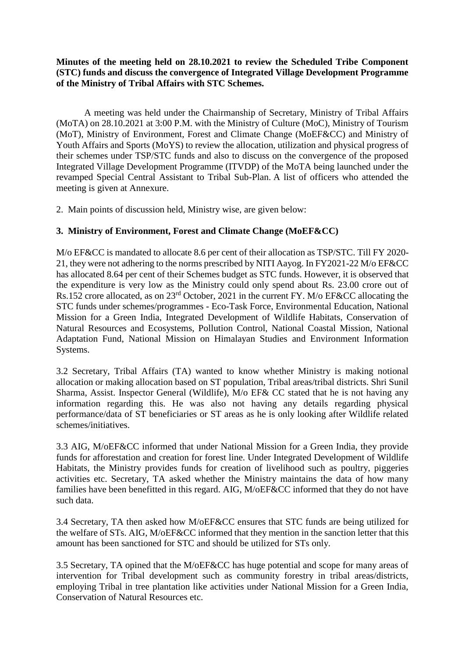#### **Minutes of the meeting held on 28.10.2021 to review the Scheduled Tribe Component (STC) funds and discuss the convergence of Integrated Village Development Programme of the Ministry of Tribal Affairs with STC Schemes.**

A meeting was held under the Chairmanship of Secretary, Ministry of Tribal Affairs (MoTA) on 28.10.2021 at 3:00 P.M. with the Ministry of Culture (MoC), Ministry of Tourism (MoT), Ministry of Environment, Forest and Climate Change (MoEF&CC) and Ministry of Youth Affairs and Sports (MoYS) to review the allocation, utilization and physical progress of their schemes under TSP/STC funds and also to discuss on the convergence of the proposed Integrated Village Development Programme (ITVDP) of the MoTA being launched under the revamped Special Central Assistant to Tribal Sub-Plan. A list of officers who attended the meeting is given at Annexure.

2. Main points of discussion held, Ministry wise, are given below:

#### **3. Ministry of Environment, Forest and Climate Change (MoEF&CC)**

M/o EF&CC is mandated to allocate 8.6 per cent of their allocation as TSP/STC. Till FY 2020- 21, they were not adhering to the norms prescribed by NITI Aayog. In FY2021-22 M/o EF&CC has allocated 8.64 per cent of their Schemes budget as STC funds. However, it is observed that the expenditure is very low as the Ministry could only spend about Rs. 23.00 crore out of Rs.152 crore allocated, as on 23rd October, 2021 in the current FY. M/o EF&CC allocating the STC funds under schemes/programmes - Eco-Task Force, Environmental Education, National Mission for a Green India, Integrated Development of Wildlife Habitats, Conservation of Natural Resources and Ecosystems, Pollution Control, National Coastal Mission, National Adaptation Fund, National Mission on Himalayan Studies and Environment Information Systems.

3.2 Secretary, Tribal Affairs (TA) wanted to know whether Ministry is making notional allocation or making allocation based on ST population, Tribal areas/tribal districts. Shri Sunil Sharma, Assist. Inspector General (Wildlife), M/o EF& CC stated that he is not having any information regarding this. He was also not having any details regarding physical performance/data of ST beneficiaries or ST areas as he is only looking after Wildlife related schemes/initiatives.

3.3 AIG, M/oEF&CC informed that under National Mission for a Green India, they provide funds for afforestation and creation for forest line. Under Integrated Development of Wildlife Habitats, the Ministry provides funds for creation of livelihood such as poultry, piggeries activities etc. Secretary, TA asked whether the Ministry maintains the data of how many families have been benefitted in this regard. AIG, M/oEF&CC informed that they do not have such data.

3.4 Secretary, TA then asked how M/oEF&CC ensures that STC funds are being utilized for the welfare of STs. AIG, M/oEF&CC informed that they mention in the sanction letter that this amount has been sanctioned for STC and should be utilized for STs only.

3.5 Secretary, TA opined that the M/oEF&CC has huge potential and scope for many areas of intervention for Tribal development such as community forestry in tribal areas/districts, employing Tribal in tree plantation like activities under National Mission for a Green India, Conservation of Natural Resources etc.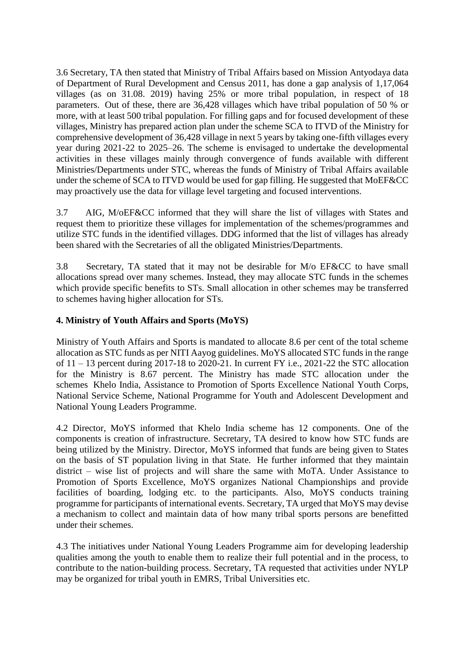3.6 Secretary, TA then stated that Ministry of Tribal Affairs based on Mission Antyodaya data of Department of Rural Development and Census 2011, has done a gap analysis of 1,17,064 villages (as on 31.08. 2019) having 25% or more tribal population, in respect of 18 parameters. Out of these, there are 36,428 villages which have tribal population of 50 % or more, with at least 500 tribal population. For filling gaps and for focused development of these villages, Ministry has prepared action plan under the scheme SCA to ITVD of the Ministry for comprehensive development of 36,428 village in next 5 years by taking one-fifth villages every year during 2021-22 to 2025–26. The scheme is envisaged to undertake the developmental activities in these villages mainly through convergence of funds available with different Ministries/Departments under STC, whereas the funds of Ministry of Tribal Affairs available under the scheme of SCA to ITVD would be used for gap filling. He suggested that MoEF&CC may proactively use the data for village level targeting and focused interventions.

3.7 AIG, M/oEF&CC informed that they will share the list of villages with States and request them to prioritize these villages for implementation of the schemes/programmes and utilize STC funds in the identified villages. DDG informed that the list of villages has already been shared with the Secretaries of all the obligated Ministries/Departments.

3.8 Secretary, TA stated that it may not be desirable for M/o EF&CC to have small allocations spread over many schemes. Instead, they may allocate STC funds in the schemes which provide specific benefits to STs. Small allocation in other schemes may be transferred to schemes having higher allocation for STs.

#### **4. Ministry of Youth Affairs and Sports (MoYS)**

Ministry of Youth Affairs and Sports is mandated to allocate 8.6 per cent of the total scheme allocation as STC funds as per NITI Aayog guidelines. MoYS allocated STC funds in the range of  $11 - 13$  percent during 2017-18 to 2020-21. In current FY i.e., 2021-22 the STC allocation for the Ministry is 8.67 percent. The Ministry has made STC allocation under the schemes Khelo India, Assistance to Promotion of Sports Excellence National Youth Corps, National Service Scheme, National Programme for Youth and Adolescent Development and National Young Leaders Programme.

4.2 Director, MoYS informed that Khelo India scheme has 12 components. One of the components is creation of infrastructure. Secretary, TA desired to know how STC funds are being utilized by the Ministry. Director, MoYS informed that funds are being given to States on the basis of ST population living in that State. He further informed that they maintain district – wise list of projects and will share the same with MoTA. Under Assistance to Promotion of Sports Excellence, MoYS organizes National Championships and provide facilities of boarding, lodging etc. to the participants. Also, MoYS conducts training programme for participants of international events. Secretary, TA urged that MoYS may devise a mechanism to collect and maintain data of how many tribal sports persons are benefitted under their schemes.

4.3 The initiatives under National Young Leaders Programme aim for developing leadership qualities among the youth to enable them to realize their full potential and in the process, to contribute to the nation-building process. Secretary, TA requested that activities under NYLP may be organized for tribal youth in EMRS, Tribal Universities etc.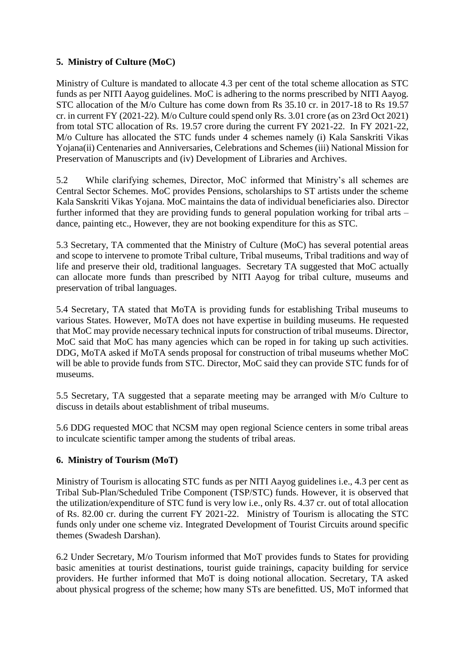## **5. Ministry of Culture (MoC)**

Ministry of Culture is mandated to allocate 4.3 per cent of the total scheme allocation as STC funds as per NITI Aayog guidelines. MoC is adhering to the norms prescribed by NITI Aayog. STC allocation of the M/o Culture has come down from Rs 35.10 cr. in 2017-18 to Rs 19.57 cr. in current FY (2021-22). M/o Culture could spend only Rs. 3.01 crore (as on 23rd Oct 2021) from total STC allocation of Rs. 19.57 crore during the current FY 2021-22. In FY 2021-22, M/o Culture has allocated the STC funds under 4 schemes namely (i) Kala Sanskriti Vikas Yojana(ii) Centenaries and Anniversaries, Celebrations and Schemes (iii) National Mission for Preservation of Manuscripts and (iv) Development of Libraries and Archives.

5.2 While clarifying schemes, Director, MoC informed that Ministry's all schemes are Central Sector Schemes. MoC provides Pensions, scholarships to ST artists under the scheme Kala Sanskriti Vikas Yojana. MoC maintains the data of individual beneficiaries also. Director further informed that they are providing funds to general population working for tribal arts – dance, painting etc., However, they are not booking expenditure for this as STC.

5.3 Secretary, TA commented that the Ministry of Culture (MoC) has several potential areas and scope to intervene to promote Tribal culture, Tribal museums, Tribal traditions and way of life and preserve their old, traditional languages. Secretary TA suggested that MoC actually can allocate more funds than prescribed by NITI Aayog for tribal culture, museums and preservation of tribal languages.

5.4 Secretary, TA stated that MoTA is providing funds for establishing Tribal museums to various States. However, MoTA does not have expertise in building museums. He requested that MoC may provide necessary technical inputs for construction of tribal museums. Director, MoC said that MoC has many agencies which can be roped in for taking up such activities. DDG, MoTA asked if MoTA sends proposal for construction of tribal museums whether MoC will be able to provide funds from STC. Director, MoC said they can provide STC funds for of museums.

5.5 Secretary, TA suggested that a separate meeting may be arranged with M/o Culture to discuss in details about establishment of tribal museums.

5.6 DDG requested MOC that NCSM may open regional Science centers in some tribal areas to inculcate scientific tamper among the students of tribal areas.

## **6. Ministry of Tourism (MoT)**

Ministry of Tourism is allocating STC funds as per NITI Aayog guidelines i.e., 4.3 per cent as Tribal Sub-Plan/Scheduled Tribe Component (TSP/STC) funds. However, it is observed that the utilization/expenditure of STC fund is very low i.e., only Rs. 4.37 cr. out of total allocation of Rs. 82.00 cr. during the current FY 2021-22. Ministry of Tourism is allocating the STC funds only under one scheme viz. Integrated Development of Tourist Circuits around specific themes (Swadesh Darshan).

6.2 Under Secretary, M/o Tourism informed that MoT provides funds to States for providing basic amenities at tourist destinations, tourist guide trainings, capacity building for service providers. He further informed that MoT is doing notional allocation. Secretary, TA asked about physical progress of the scheme; how many STs are benefitted. US, MoT informed that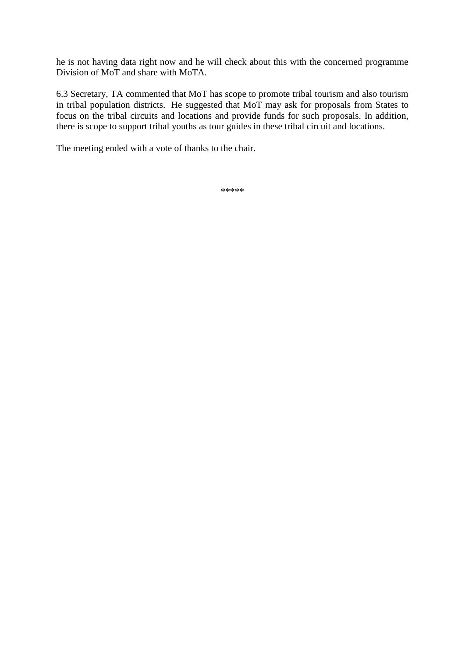he is not having data right now and he will check about this with the concerned programme Division of MoT and share with MoTA.

6.3 Secretary, TA commented that MoT has scope to promote tribal tourism and also tourism in tribal population districts. He suggested that MoT may ask for proposals from States to focus on the tribal circuits and locations and provide funds for such proposals. In addition, there is scope to support tribal youths as tour guides in these tribal circuit and locations.

The meeting ended with a vote of thanks to the chair.

\*\*\*\*\*